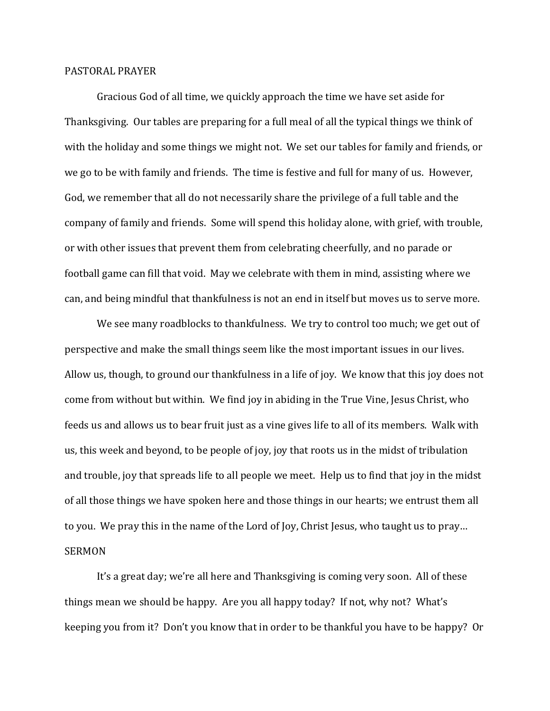## PASTORAL PRAYER

 Gracious God of all time, we quickly approach the time we have set aside for Thanksgiving. Our tables are preparing for a full meal of all the typical things we think of with the holiday and some things we might not. We set our tables for family and friends, or we go to be with family and friends. The time is festive and full for many of us. However, God, we remember that all do not necessarily share the privilege of a full table and the company of family and friends. Some will spend this holiday alone, with grief, with trouble, or with other issues that prevent them from celebrating cheerfully, and no parade or football game can fill that void. May we celebrate with them in mind, assisting where we can, and being mindful that thankfulness is not an end in itself but moves us to serve more.

We see many roadblocks to thankfulness. We try to control too much; we get out of perspective and make the small things seem like the most important issues in our lives. Allow us, though, to ground our thankfulness in a life of joy. We know that this joy does not come from without but within. We find joy in abiding in the True Vine, Jesus Christ, who feeds us and allows us to bear fruit just as a vine gives life to all of its members. Walk with us, this week and beyond, to be people of joy, joy that roots us in the midst of tribulation and trouble, joy that spreads life to all people we meet. Help us to find that joy in the midst of all those things we have spoken here and those things in our hearts; we entrust them all to you. We pray this in the name of the Lord of Joy, Christ Jesus, who taught us to pray… SERMON

 It's a great day; we're all here and Thanksgiving is coming very soon. All of these things mean we should be happy. Are you all happy today? If not, why not? What's keeping you from it? Don't you know that in order to be thankful you have to be happy? Or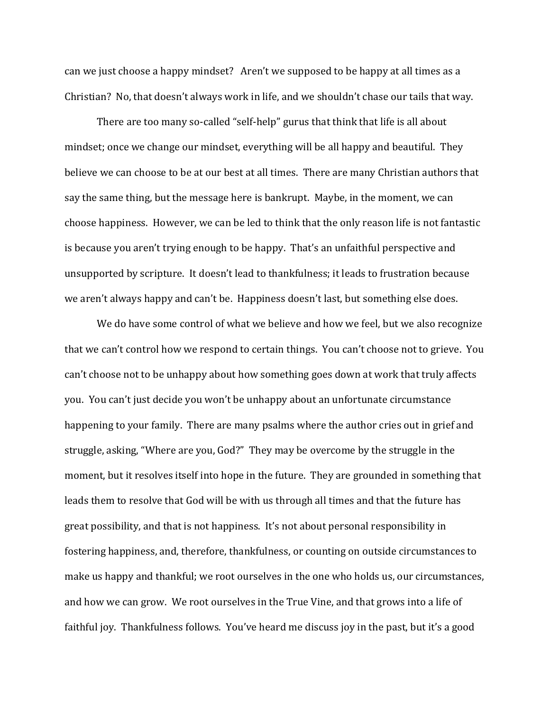can we just choose a happy mindset? Aren't we supposed to be happy at all times as a Christian? No, that doesn't always work in life, and we shouldn't chase our tails that way.

There are too many so-called "self-help" gurus that think that life is all about mindset; once we change our mindset, everything will be all happy and beautiful. They believe we can choose to be at our best at all times. There are many Christian authors that say the same thing, but the message here is bankrupt. Maybe, in the moment, we can choose happiness. However, we can be led to think that the only reason life is not fantastic is because you aren't trying enough to be happy. That's an unfaithful perspective and unsupported by scripture. It doesn't lead to thankfulness; it leads to frustration because we aren't always happy and can't be. Happiness doesn't last, but something else does.

We do have some control of what we believe and how we feel, but we also recognize that we can't control how we respond to certain things. You can't choose not to grieve. You can't choose not to be unhappy about how something goes down at work that truly affects you. You can't just decide you won't be unhappy about an unfortunate circumstance happening to your family. There are many psalms where the author cries out in grief and struggle, asking, "Where are you, God?" They may be overcome by the struggle in the moment, but it resolves itself into hope in the future. They are grounded in something that leads them to resolve that God will be with us through all times and that the future has great possibility, and that is not happiness. It's not about personal responsibility in fostering happiness, and, therefore, thankfulness, or counting on outside circumstances to make us happy and thankful; we root ourselves in the one who holds us, our circumstances, and how we can grow. We root ourselves in the True Vine, and that grows into a life of faithful joy. Thankfulness follows. You've heard me discuss joy in the past, but it's a good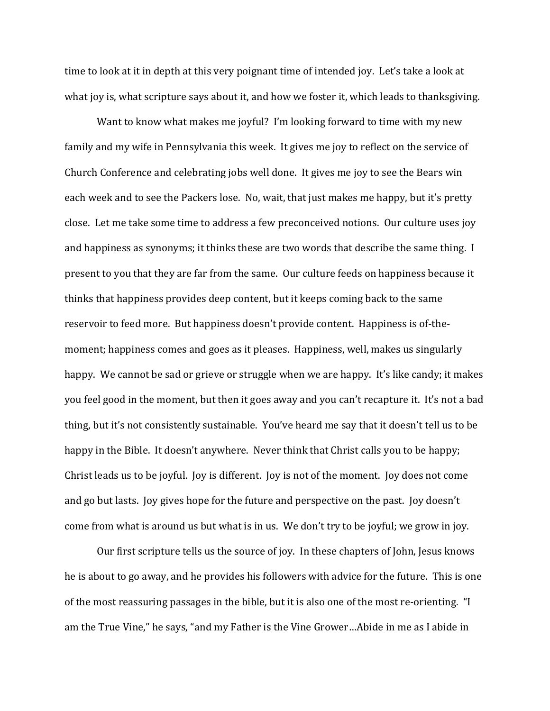time to look at it in depth at this very poignant time of intended joy. Let's take a look at what joy is, what scripture says about it, and how we foster it, which leads to thanksgiving.

Want to know what makes me joyful? I'm looking forward to time with my new family and my wife in Pennsylvania this week. It gives me joy to reflect on the service of Church Conference and celebrating jobs well done. It gives me joy to see the Bears win each week and to see the Packers lose. No, wait, that just makes me happy, but it's pretty close. Let me take some time to address a few preconceived notions. Our culture uses joy and happiness as synonyms; it thinks these are two words that describe the same thing. I present to you that they are far from the same. Our culture feeds on happiness because it thinks that happiness provides deep content, but it keeps coming back to the same reservoir to feed more. But happiness doesn't provide content. Happiness is of-themoment; happiness comes and goes as it pleases. Happiness, well, makes us singularly happy. We cannot be sad or grieve or struggle when we are happy. It's like candy; it makes you feel good in the moment, but then it goes away and you can't recapture it. It's not a bad thing, but it's not consistently sustainable. You've heard me say that it doesn't tell us to be happy in the Bible. It doesn't anywhere. Never think that Christ calls you to be happy; Christ leads us to be joyful. Joy is different. Joy is not of the moment. Joy does not come and go but lasts. Joy gives hope for the future and perspective on the past. Joy doesn't come from what is around us but what is in us. We don't try to be joyful; we grow in joy.

Our first scripture tells us the source of joy. In these chapters of John, Jesus knows he is about to go away, and he provides his followers with advice for the future. This is one of the most reassuring passages in the bible, but it is also one of the most re-orienting. "I am the True Vine," he says, "and my Father is the Vine Grower…Abide in me as I abide in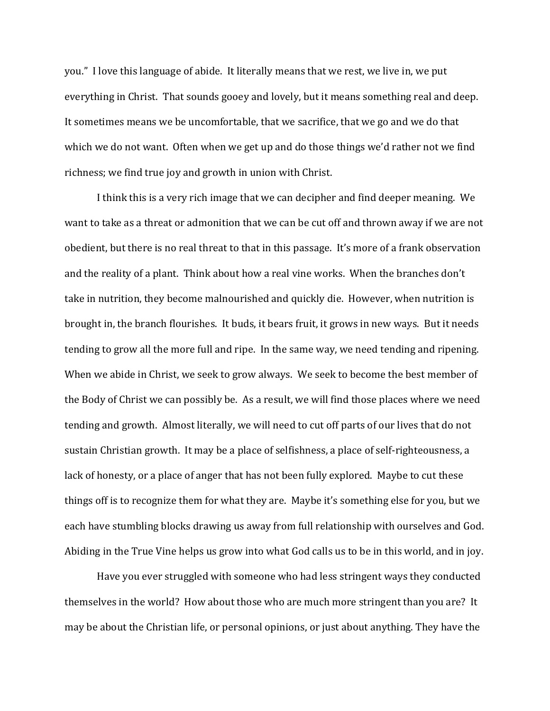you." I love this language of abide. It literally means that we rest, we live in, we put everything in Christ. That sounds gooey and lovely, but it means something real and deep. It sometimes means we be uncomfortable, that we sacrifice, that we go and we do that which we do not want. Often when we get up and do those things we'd rather not we find richness; we find true joy and growth in union with Christ.

I think this is a very rich image that we can decipher and find deeper meaning. We want to take as a threat or admonition that we can be cut off and thrown away if we are not obedient, but there is no real threat to that in this passage. It's more of a frank observation and the reality of a plant. Think about how a real vine works. When the branches don't take in nutrition, they become malnourished and quickly die. However, when nutrition is brought in, the branch flourishes. It buds, it bears fruit, it grows in new ways. But it needs tending to grow all the more full and ripe. In the same way, we need tending and ripening. When we abide in Christ, we seek to grow always. We seek to become the best member of the Body of Christ we can possibly be. As a result, we will find those places where we need tending and growth. Almost literally, we will need to cut off parts of our lives that do not sustain Christian growth. It may be a place of selfishness, a place of self-righteousness, a lack of honesty, or a place of anger that has not been fully explored. Maybe to cut these things off is to recognize them for what they are. Maybe it's something else for you, but we each have stumbling blocks drawing us away from full relationship with ourselves and God. Abiding in the True Vine helps us grow into what God calls us to be in this world, and in joy.

Have you ever struggled with someone who had less stringent ways they conducted themselves in the world? How about those who are much more stringent than you are? It may be about the Christian life, or personal opinions, or just about anything. They have the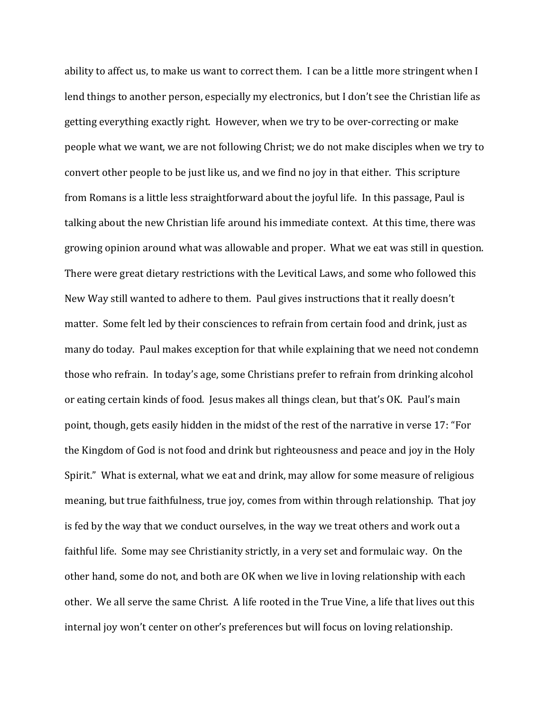ability to affect us, to make us want to correct them. I can be a little more stringent when I lend things to another person, especially my electronics, but I don't see the Christian life as getting everything exactly right. However, when we try to be over-correcting or make people what we want, we are not following Christ; we do not make disciples when we try to convert other people to be just like us, and we find no joy in that either. This scripture from Romans is a little less straightforward about the joyful life. In this passage, Paul is talking about the new Christian life around his immediate context. At this time, there was growing opinion around what was allowable and proper. What we eat was still in question. There were great dietary restrictions with the Levitical Laws, and some who followed this New Way still wanted to adhere to them. Paul gives instructions that it really doesn't matter. Some felt led by their consciences to refrain from certain food and drink, just as many do today. Paul makes exception for that while explaining that we need not condemn those who refrain. In today's age, some Christians prefer to refrain from drinking alcohol or eating certain kinds of food. Jesus makes all things clean, but that's OK. Paul's main point, though, gets easily hidden in the midst of the rest of the narrative in verse 17: "For the Kingdom of God is not food and drink but righteousness and peace and joy in the Holy Spirit." What is external, what we eat and drink, may allow for some measure of religious meaning, but true faithfulness, true joy, comes from within through relationship. That joy is fed by the way that we conduct ourselves, in the way we treat others and work out a faithful life. Some may see Christianity strictly, in a very set and formulaic way. On the other hand, some do not, and both are OK when we live in loving relationship with each other. We all serve the same Christ. A life rooted in the True Vine, a life that lives out this internal joy won't center on other's preferences but will focus on loving relationship.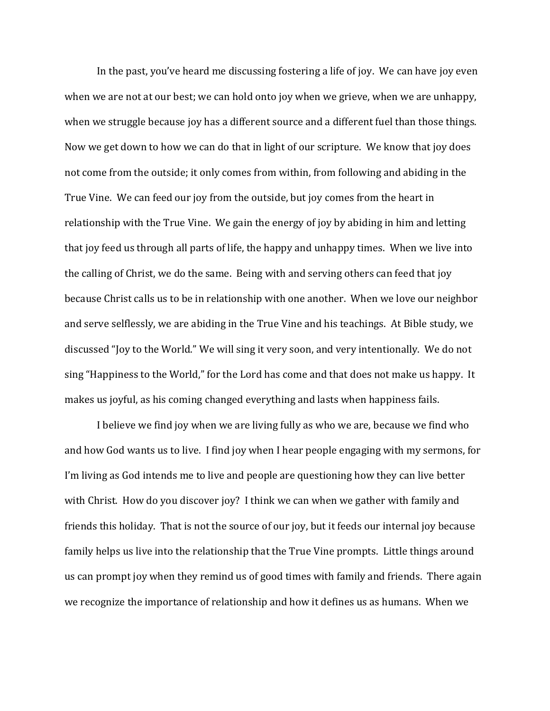In the past, you've heard me discussing fostering a life of joy. We can have joy even when we are not at our best; we can hold onto joy when we grieve, when we are unhappy, when we struggle because joy has a different source and a different fuel than those things. Now we get down to how we can do that in light of our scripture. We know that joy does not come from the outside; it only comes from within, from following and abiding in the True Vine. We can feed our joy from the outside, but joy comes from the heart in relationship with the True Vine. We gain the energy of joy by abiding in him and letting that joy feed us through all parts of life, the happy and unhappy times. When we live into the calling of Christ, we do the same. Being with and serving others can feed that joy because Christ calls us to be in relationship with one another. When we love our neighbor and serve selflessly, we are abiding in the True Vine and his teachings. At Bible study, we discussed "Joy to the World." We will sing it very soon, and very intentionally. We do not sing "Happiness to the World," for the Lord has come and that does not make us happy. It makes us joyful, as his coming changed everything and lasts when happiness fails.

 I believe we find joy when we are living fully as who we are, because we find who and how God wants us to live. I find joy when I hear people engaging with my sermons, for I'm living as God intends me to live and people are questioning how they can live better with Christ. How do you discover joy? I think we can when we gather with family and friends this holiday. That is not the source of our joy, but it feeds our internal joy because family helps us live into the relationship that the True Vine prompts. Little things around us can prompt joy when they remind us of good times with family and friends. There again we recognize the importance of relationship and how it defines us as humans. When we